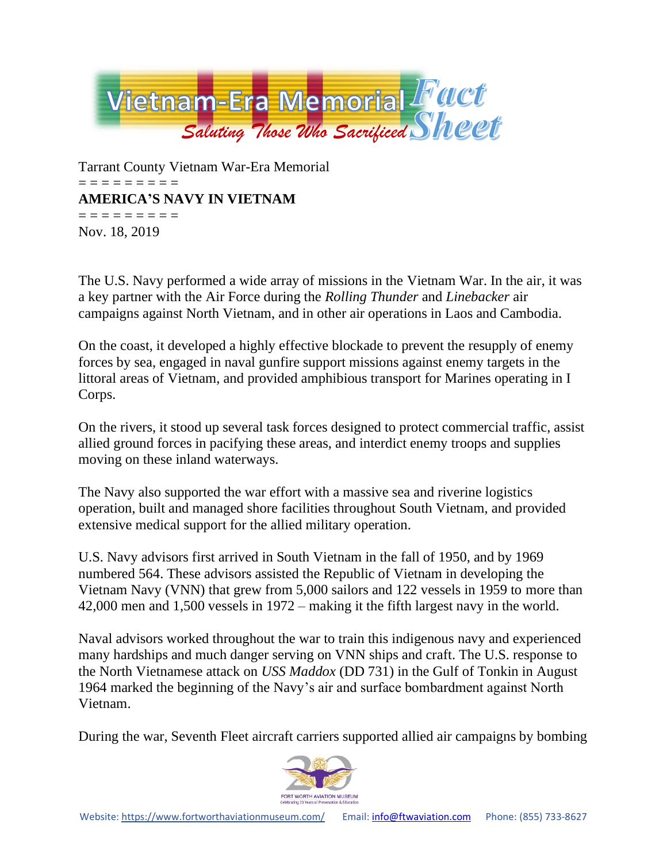

Tarrant County Vietnam War-Era Memorial = = = = = = = = = **AMERICA'S NAVY IN VIETNAM** = = = = = = = = = Nov. 18, 2019

The U.S. Navy performed a wide array of missions in the Vietnam War. In the air, it was a key partner with the Air Force during the *Rolling Thunder* and *Linebacker* air campaigns against North Vietnam, and in other air operations in Laos and Cambodia.

On the coast, it developed a highly effective blockade to prevent the resupply of enemy forces by sea, engaged in naval gunfire support missions against enemy targets in the littoral areas of Vietnam, and provided amphibious transport for Marines operating in I Corps.

On the rivers, it stood up several task forces designed to protect commercial traffic, assist allied ground forces in pacifying these areas, and interdict enemy troops and supplies moving on these inland waterways.

The Navy also supported the war effort with a massive sea and riverine logistics operation, built and managed shore facilities throughout South Vietnam, and provided extensive medical support for the allied military operation.

U.S. Navy advisors first arrived in South Vietnam in the fall of 1950, and by 1969 numbered 564. These advisors assisted the Republic of Vietnam in developing the Vietnam Navy (VNN) that grew from 5,000 sailors and 122 vessels in 1959 to more than 42,000 men and 1,500 vessels in 1972 – making it the fifth largest navy in the world.

Naval advisors worked throughout the war to train this indigenous navy and experienced many hardships and much danger serving on VNN ships and craft. The U.S. response to the North Vietnamese attack on *USS Maddox* (DD 731) in the Gulf of Tonkin in August 1964 marked the beginning of the Navy's air and surface bombardment against North Vietnam.

During the war, Seventh Fleet aircraft carriers supported allied air campaigns by bombing

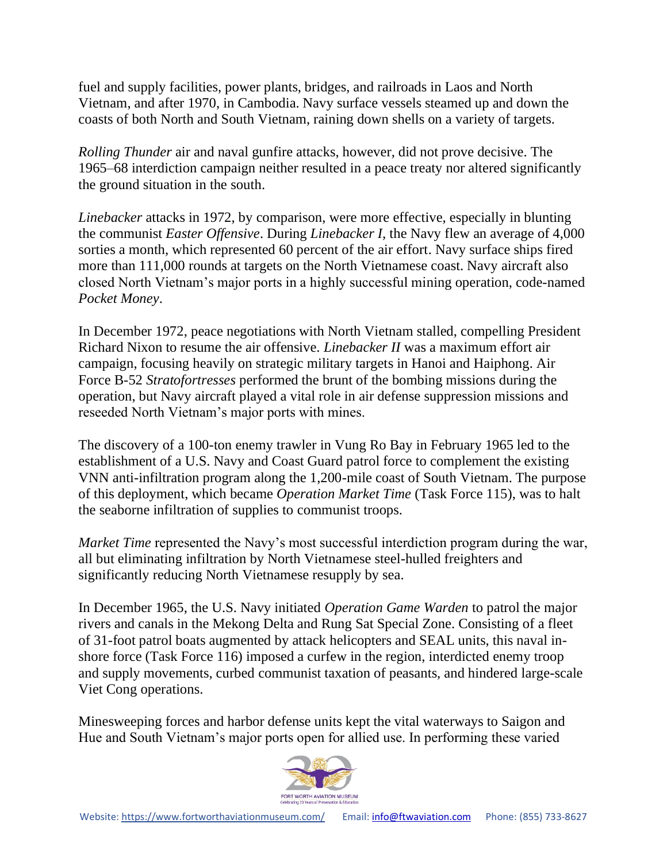fuel and supply facilities, power plants, bridges, and railroads in Laos and North Vietnam, and after 1970, in Cambodia. Navy surface vessels steamed up and down the coasts of both North and South Vietnam, raining down shells on a variety of targets.

*Rolling Thunder* air and naval gunfire attacks, however, did not prove decisive. The 1965–68 interdiction campaign neither resulted in a peace treaty nor altered significantly the ground situation in the south.

*Linebacker* attacks in 1972, by comparison, were more effective, especially in blunting the communist *Easter Offensive*. During *Linebacker I,* the Navy flew an average of 4,000 sorties a month, which represented 60 percent of the air effort. Navy surface ships fired more than 111,000 rounds at targets on the North Vietnamese coast. Navy aircraft also closed North Vietnam's major ports in a highly successful mining operation, code-named *Pocket Money*.

In December 1972, peace negotiations with North Vietnam stalled, compelling President Richard Nixon to resume the air offensive. *Linebacker II* was a maximum effort air campaign, focusing heavily on strategic military targets in Hanoi and Haiphong. Air Force B-52 *Stratofortresses* performed the brunt of the bombing missions during the operation, but Navy aircraft played a vital role in air defense suppression missions and reseeded North Vietnam's major ports with mines.

The discovery of a 100-ton enemy trawler in Vung Ro Bay in February 1965 led to the establishment of a U.S. Navy and Coast Guard patrol force to complement the existing VNN anti-infiltration program along the 1,200-mile coast of South Vietnam. The purpose of this deployment, which became *Operation Market Time* (Task Force 115), was to halt the seaborne infiltration of supplies to communist troops.

*Market Time* represented the Navy's most successful interdiction program during the war, all but eliminating infiltration by North Vietnamese steel-hulled freighters and significantly reducing North Vietnamese resupply by sea.

In December 1965, the U.S. Navy initiated *Operation Game Warden* to patrol the major rivers and canals in the Mekong Delta and Rung Sat Special Zone. Consisting of a fleet of 31-foot patrol boats augmented by attack helicopters and SEAL units, this naval inshore force (Task Force 116) imposed a curfew in the region, interdicted enemy troop and supply movements, curbed communist taxation of peasants, and hindered large-scale Viet Cong operations.

Minesweeping forces and harbor defense units kept the vital waterways to Saigon and Hue and South Vietnam's major ports open for allied use. In performing these varied

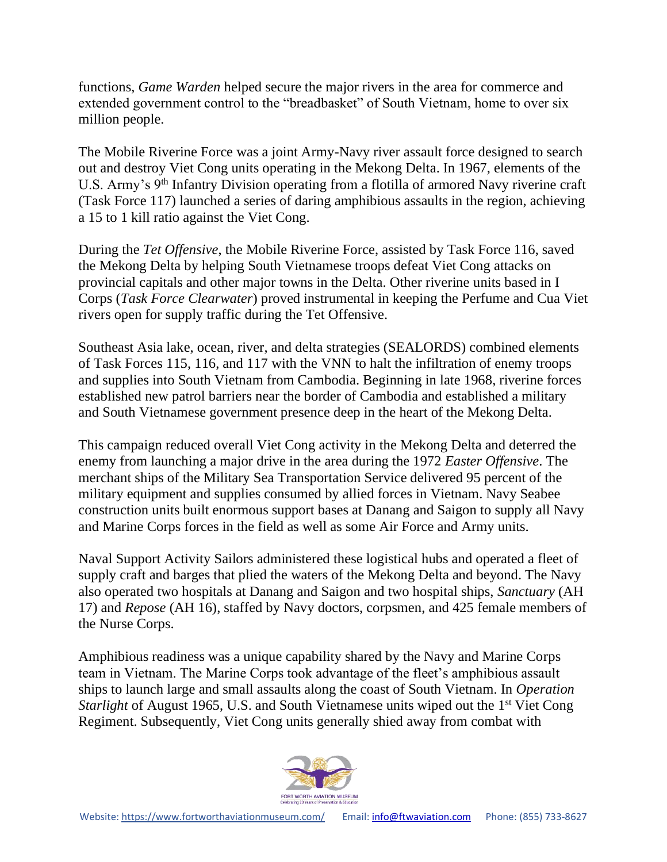functions, *Game Warden* helped secure the major rivers in the area for commerce and extended government control to the "breadbasket" of South Vietnam, home to over six million people.

The Mobile Riverine Force was a joint Army-Navy river assault force designed to search out and destroy Viet Cong units operating in the Mekong Delta. In 1967, elements of the U.S. Army's 9<sup>th</sup> Infantry Division operating from a flotilla of armored Navy riverine craft (Task Force 117) launched a series of daring amphibious assaults in the region, achieving a 15 to 1 kill ratio against the Viet Cong.

During the *Tet Offensive*, the Mobile Riverine Force, assisted by Task Force 116, saved the Mekong Delta by helping South Vietnamese troops defeat Viet Cong attacks on provincial capitals and other major towns in the Delta. Other riverine units based in I Corps (*Task Force Clearwater*) proved instrumental in keeping the Perfume and Cua Viet rivers open for supply traffic during the Tet Offensive.

Southeast Asia lake, ocean, river, and delta strategies (SEALORDS) combined elements of Task Forces 115, 116, and 117 with the VNN to halt the infiltration of enemy troops and supplies into South Vietnam from Cambodia. Beginning in late 1968, riverine forces established new patrol barriers near the border of Cambodia and established a military and South Vietnamese government presence deep in the heart of the Mekong Delta.

This campaign reduced overall Viet Cong activity in the Mekong Delta and deterred the enemy from launching a major drive in the area during the 1972 *Easter Offensive*. The merchant ships of the Military Sea Transportation Service delivered 95 percent of the military equipment and supplies consumed by allied forces in Vietnam. Navy Seabee construction units built enormous support bases at Danang and Saigon to supply all Navy and Marine Corps forces in the field as well as some Air Force and Army units.

Naval Support Activity Sailors administered these logistical hubs and operated a fleet of supply craft and barges that plied the waters of the Mekong Delta and beyond. The Navy also operated two hospitals at Danang and Saigon and two hospital ships, *Sanctuary* (AH 17) and *Repose* (AH 16), staffed by Navy doctors, corpsmen, and 425 female members of the Nurse Corps.

Amphibious readiness was a unique capability shared by the Navy and Marine Corps team in Vietnam. The Marine Corps took advantage of the fleet's amphibious assault ships to launch large and small assaults along the coast of South Vietnam. In *Operation Starlight* of August 1965, U.S. and South Vietnamese units wiped out the 1<sup>st</sup> Viet Cong Regiment. Subsequently, Viet Cong units generally shied away from combat with